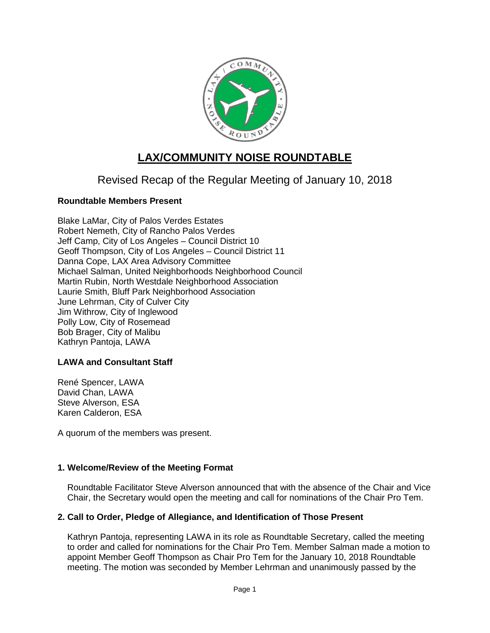

# **LAX/COMMUNITY NOISE ROUNDTABLE**

Revised Recap of the Regular Meeting of January 10, 2018

# **Roundtable Members Present**

Blake LaMar, City of Palos Verdes Estates Robert Nemeth, City of Rancho Palos Verdes Jeff Camp, City of Los Angeles – Council District 10 Geoff Thompson, City of Los Angeles – Council District 11 Danna Cope, LAX Area Advisory Committee Michael Salman, United Neighborhoods Neighborhood Council Martin Rubin, North Westdale Neighborhood Association Laurie Smith, Bluff Park Neighborhood Association June Lehrman, City of Culver City Jim Withrow, City of Inglewood Polly Low, City of Rosemead Bob Brager, City of Malibu Kathryn Pantoja, LAWA

#### **LAWA and Consultant Staff**

René Spencer, LAWA David Chan, LAWA Steve Alverson, ESA Karen Calderon, ESA

A quorum of the members was present.

#### **1. Welcome/Review of the Meeting Format**

Roundtable Facilitator Steve Alverson announced that with the absence of the Chair and Vice Chair, the Secretary would open the meeting and call for nominations of the Chair Pro Tem.

#### **2. Call to Order, Pledge of Allegiance, and Identification of Those Present**

Kathryn Pantoja, representing LAWA in its role as Roundtable Secretary, called the meeting to order and called for nominations for the Chair Pro Tem. Member Salman made a motion to appoint Member Geoff Thompson as Chair Pro Tem for the January 10, 2018 Roundtable meeting. The motion was seconded by Member Lehrman and unanimously passed by the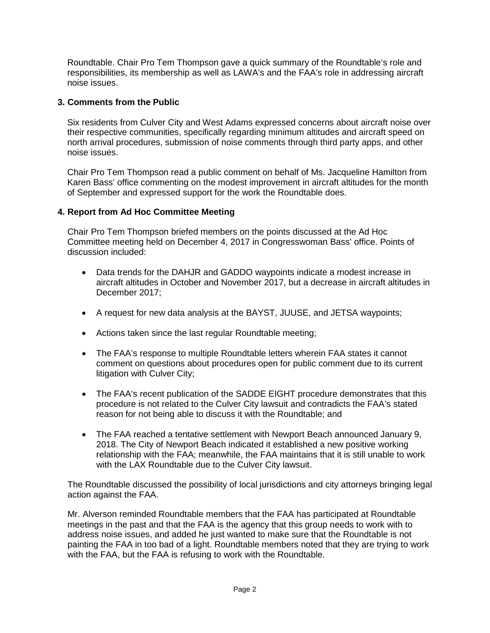Roundtable. Chair Pro Tem Thompson gave a quick summary of the Roundtable's role and responsibilities, its membership as well as LAWA's and the FAA's role in addressing aircraft noise issues.

# **3. Comments from the Public**

Six residents from Culver City and West Adams expressed concerns about aircraft noise over their respective communities, specifically regarding minimum altitudes and aircraft speed on north arrival procedures, submission of noise comments through third party apps, and other noise issues.

Chair Pro Tem Thompson read a public comment on behalf of Ms. Jacqueline Hamilton from Karen Bass' office commenting on the modest improvement in aircraft altitudes for the month of September and expressed support for the work the Roundtable does.

# **4. Report from Ad Hoc Committee Meeting**

Chair Pro Tem Thompson briefed members on the points discussed at the Ad Hoc Committee meeting held on December 4, 2017 in Congresswoman Bass' office. Points of discussion included:

- Data trends for the DAHJR and GADDO waypoints indicate a modest increase in aircraft altitudes in October and November 2017, but a decrease in aircraft altitudes in December 2017;
- A request for new data analysis at the BAYST, JUUSE, and JETSA waypoints;
- Actions taken since the last regular Roundtable meeting;
- The FAA's response to multiple Roundtable letters wherein FAA states it cannot comment on questions about procedures open for public comment due to its current litigation with Culver City;
- The FAA's recent publication of the SADDE EIGHT procedure demonstrates that this procedure is not related to the Culver City lawsuit and contradicts the FAA's stated reason for not being able to discuss it with the Roundtable; and
- The FAA reached a tentative settlement with Newport Beach announced January 9, 2018. The City of Newport Beach indicated it established a new positive working relationship with the FAA; meanwhile, the FAA maintains that it is still unable to work with the LAX Roundtable due to the Culver City lawsuit.

The Roundtable discussed the possibility of local jurisdictions and city attorneys bringing legal action against the FAA.

Mr. Alverson reminded Roundtable members that the FAA has participated at Roundtable meetings in the past and that the FAA is the agency that this group needs to work with to address noise issues, and added he just wanted to make sure that the Roundtable is not painting the FAA in too bad of a light. Roundtable members noted that they are trying to work with the FAA, but the FAA is refusing to work with the Roundtable.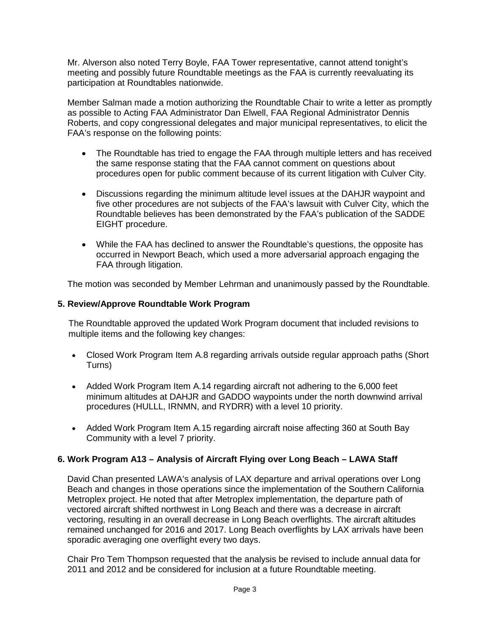Mr. Alverson also noted Terry Boyle, FAA Tower representative, cannot attend tonight's meeting and possibly future Roundtable meetings as the FAA is currently reevaluating its participation at Roundtables nationwide.

Member Salman made a motion authorizing the Roundtable Chair to write a letter as promptly as possible to Acting FAA Administrator Dan Elwell, FAA Regional Administrator Dennis Roberts, and copy congressional delegates and major municipal representatives, to elicit the FAA's response on the following points:

- The Roundtable has tried to engage the FAA through multiple letters and has received the same response stating that the FAA cannot comment on questions about procedures open for public comment because of its current litigation with Culver City.
- Discussions regarding the minimum altitude level issues at the DAHJR waypoint and five other procedures are not subjects of the FAA's lawsuit with Culver City, which the Roundtable believes has been demonstrated by the FAA's publication of the SADDE EIGHT procedure.
- While the FAA has declined to answer the Roundtable's questions, the opposite has occurred in Newport Beach, which used a more adversarial approach engaging the FAA through litigation.

The motion was seconded by Member Lehrman and unanimously passed by the Roundtable.

# **5. Review/Approve Roundtable Work Program**

The Roundtable approved the updated Work Program document that included revisions to multiple items and the following key changes:

- Closed Work Program Item A.8 regarding arrivals outside regular approach paths (Short Turns)
- Added Work Program Item A.14 regarding aircraft not adhering to the 6,000 feet minimum altitudes at DAHJR and GADDO waypoints under the north downwind arrival procedures (HULLL, IRNMN, and RYDRR) with a level 10 priority.
- Added Work Program Item A.15 regarding aircraft noise affecting 360 at South Bay Community with a level 7 priority.

# **6. Work Program A13 – Analysis of Aircraft Flying over Long Beach – LAWA Staff**

David Chan presented LAWA's analysis of LAX departure and arrival operations over Long Beach and changes in those operations since the implementation of the Southern California Metroplex project. He noted that after Metroplex implementation, the departure path of vectored aircraft shifted northwest in Long Beach and there was a decrease in aircraft vectoring, resulting in an overall decrease in Long Beach overflights. The aircraft altitudes remained unchanged for 2016 and 2017. Long Beach overflights by LAX arrivals have been sporadic averaging one overflight every two days.

Chair Pro Tem Thompson requested that the analysis be revised to include annual data for 2011 and 2012 and be considered for inclusion at a future Roundtable meeting.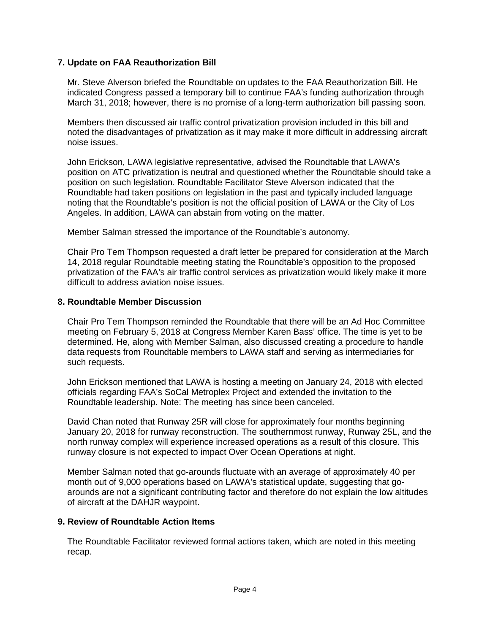# **7. Update on FAA Reauthorization Bill**

Mr. Steve Alverson briefed the Roundtable on updates to the FAA Reauthorization Bill. He indicated Congress passed a temporary bill to continue FAA's funding authorization through March 31, 2018; however, there is no promise of a long-term authorization bill passing soon.

Members then discussed air traffic control privatization provision included in this bill and noted the disadvantages of privatization as it may make it more difficult in addressing aircraft noise issues.

John Erickson, LAWA legislative representative, advised the Roundtable that LAWA's position on ATC privatization is neutral and questioned whether the Roundtable should take a position on such legislation. Roundtable Facilitator Steve Alverson indicated that the Roundtable had taken positions on legislation in the past and typically included language noting that the Roundtable's position is not the official position of LAWA or the City of Los Angeles. In addition, LAWA can abstain from voting on the matter.

Member Salman stressed the importance of the Roundtable's autonomy.

Chair Pro Tem Thompson requested a draft letter be prepared for consideration at the March 14, 2018 regular Roundtable meeting stating the Roundtable's opposition to the proposed privatization of the FAA's air traffic control services as privatization would likely make it more difficult to address aviation noise issues.

#### **8. Roundtable Member Discussion**

Chair Pro Tem Thompson reminded the Roundtable that there will be an Ad Hoc Committee meeting on February 5, 2018 at Congress Member Karen Bass' office. The time is yet to be determined. He, along with Member Salman, also discussed creating a procedure to handle data requests from Roundtable members to LAWA staff and serving as intermediaries for such requests.

John Erickson mentioned that LAWA is hosting a meeting on January 24, 2018 with elected officials regarding FAA's SoCal Metroplex Project and extended the invitation to the Roundtable leadership. Note: The meeting has since been canceled.

David Chan noted that Runway 25R will close for approximately four months beginning January 20, 2018 for runway reconstruction. The southernmost runway, Runway 25L, and the north runway complex will experience increased operations as a result of this closure. This runway closure is not expected to impact Over Ocean Operations at night.

Member Salman noted that go-arounds fluctuate with an average of approximately 40 per month out of 9,000 operations based on LAWA's statistical update, suggesting that goarounds are not a significant contributing factor and therefore do not explain the low altitudes of aircraft at the DAHJR waypoint.

#### **9. Review of Roundtable Action Items**

The Roundtable Facilitator reviewed formal actions taken, which are noted in this meeting recap.